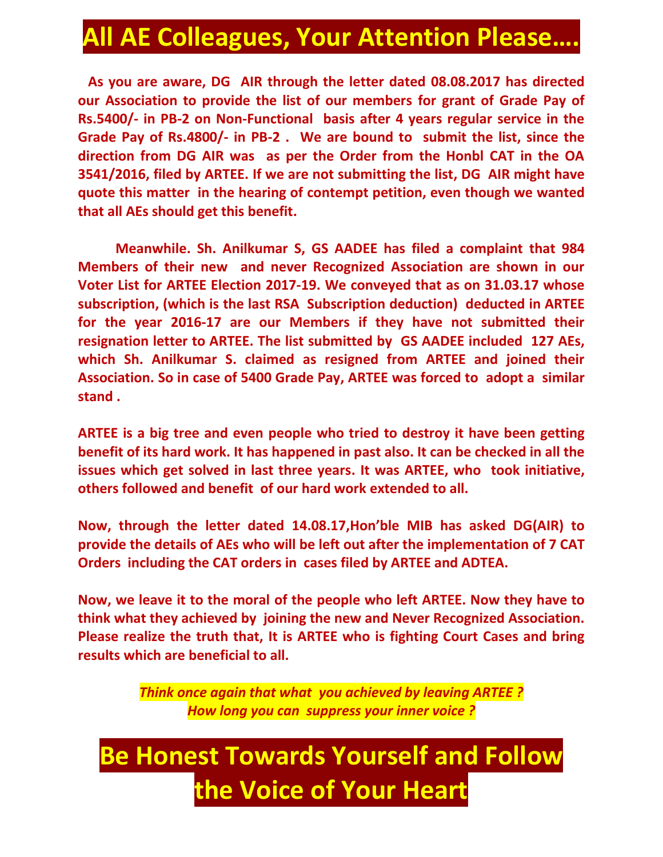## **All AE Colleagues, Your Attention Please….**

 **As you are aware, DG AIR through the letter dated 08.08.2017 has directed our Association to provide the list of our members for grant of Grade Pay of Rs.5400/- in PB-2 on Non-Functional basis after 4 years regular service in the Grade Pay of Rs.4800/- in PB-2 . We are bound to submit the list, since the direction from DG AIR was as per the Order from the Honbl CAT in the OA 3541/2016, filed by ARTEE. If we are not submitting the list, DG AIR might have quote this matter in the hearing of contempt petition, even though we wanted that all AEs should get this benefit.** 

 **Meanwhile. Sh. Anilkumar S, GS AADEE has filed a complaint that 984 Members of their new and never Recognized Association are shown in our Voter List for ARTEE Election 2017-19. We conveyed that as on 31.03.17 whose subscription, (which is the last RSA Subscription deduction) deducted in ARTEE for the year 2016-17 are our Members if they have not submitted their resignation letter to ARTEE. The list submitted by GS AADEE included 127 AEs, which Sh. Anilkumar S. claimed as resigned from ARTEE and joined their Association. So in case of 5400 Grade Pay, ARTEE was forced to adopt a similar stand .** 

**ARTEE is a big tree and even people who tried to destroy it have been getting benefit of its hard work. It has happened in past also. It can be checked in all the issues which get solved in last three years. It was ARTEE, who took initiative, others followed and benefit of our hard work extended to all.** 

**Now, through the letter dated 14.08.17,Hon'ble MIB has asked DG(AIR) to provide the details of AEs who will be left out after the implementation of 7 CAT Orders including the CAT orders in cases filed by ARTEE and ADTEA.** 

**Now, we leave it to the moral of the people who left ARTEE. Now they have to think what they achieved by joining the new and Never Recognized Association. Please realize the truth that, It is ARTEE who is fighting Court Cases and bring results which are beneficial to all.** 

> *Think once again that what you achieved by leaving ARTEE ? How long you can suppress your inner voice ?*

## **Be Honest Towards Yourself and Follow the Voice of Your Heart**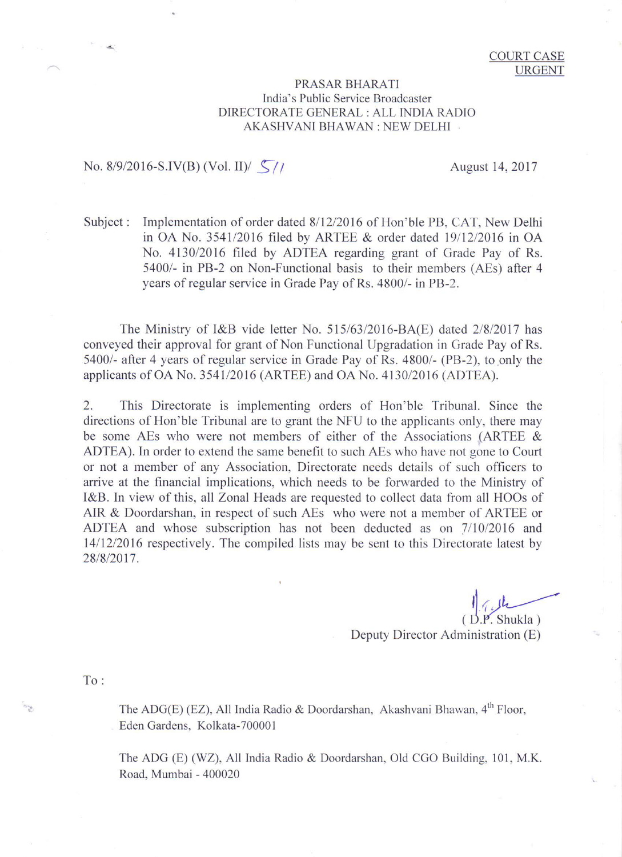## PRASAR BHARATI India's Public Service Broadcaster DIRECTORATE GENERAL : ALL INDIA RADIO **AKASHVANI BHAWAN: NEW DELHI**

## No. 8/9/2016-S.IV(B) (Vol. II)/  $\zeta$ /

August 14, 2017

Implementation of order dated 8/12/2016 of Hon'ble PB, CAT, New Delhi Subject: in OA No. 3541/2016 filed by ARTEE  $\&$  order dated 19/12/2016 in OA No. 4130/2016 filed by ADTEA regarding grant of Grade Pay of Rs. 5400/- in PB-2 on Non-Functional basis to their members (AEs) after 4 years of regular service in Grade Pay of Rs. 4800/- in PB-2.

The Ministry of I&B vide letter No. 515/63/2016-BA(E) dated 2/8/2017 has conveyed their approval for grant of Non Functional Upgradation in Grade Pay of Rs. 5400/- after 4 years of regular service in Grade Pay of Rs. 4800/- (PB-2), to only the applicants of OA No. 3541/2016 (ARTEE) and OA No. 4130/2016 (ADTEA).

 $\overline{2}$ . This Directorate is implementing orders of Hon'ble Tribunal. Since the directions of Hon'ble Tribunal are to grant the NFU to the applicants only, there may be some AEs who were not members of either of the Associations (ARTEE & ADTEA). In order to extend the same benefit to such AEs who have not gone to Court or not a member of any Association, Directorate needs details of such officers to arrive at the financial implications, which needs to be forwarded to the Ministry of I&B. In view of this, all Zonal Heads are requested to collect data from all HOOs of AIR & Doordarshan, in respect of such AEs who were not a member of ARTEE or ADTEA and whose subscription has not been deducted as on 7/10/2016 and 14/12/2016 respectively. The compiled lists may be sent to this Directorate latest by 28/8/2017.

Shukla)

Deputy Director Administration (E)

 $To:$ 

The ADG(E) (EZ), All India Radio & Doordarshan, Akashvani Bhawan, 4<sup>th</sup> Floor, Eden Gardens, Kolkata-700001

The ADG (E) (WZ), All India Radio & Doordarshan, Old CGO Building, 101, M.K. Road, Mumbai - 400020